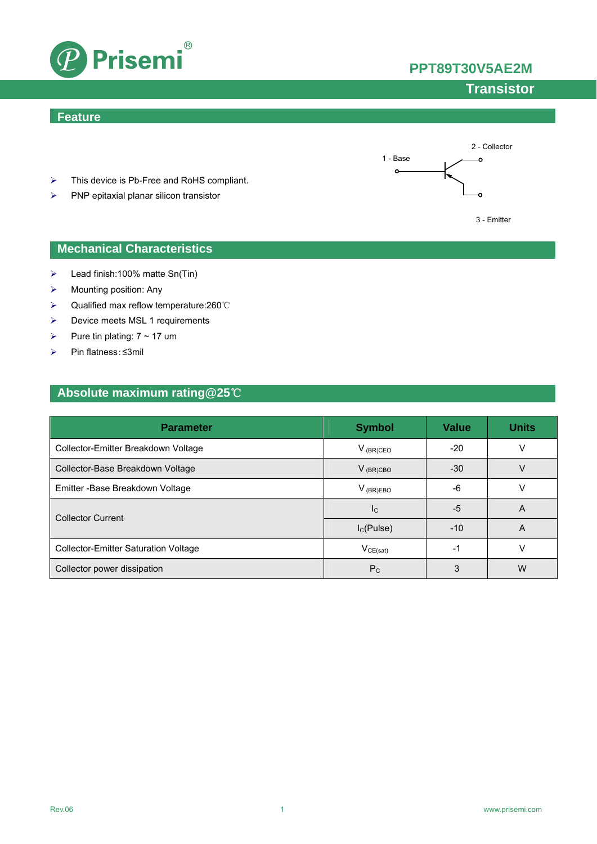



## **Transistor**

#### **Feature**



- ¾ This device is Pb-Free and RoHS compliant.
- $\triangleright$  PNP epitaxial planar silicon transistor



- $\blacktriangleright$  Lead finish:100% matte Sn(Tin)
- $\triangleright$  Mounting position: Any
- ¾ Qualified max reflow temperature:260℃
- $\triangleright$  Device meets MSL 1 requirements
- $\triangleright$  Pure tin plating:  $7 \sim 17$  um
- ¾ Pin flatness:≤3mil

### **Absolute maximum rating@25**℃

| <b>Parameter</b>                            | <b>Symbol</b>   | <b>Value</b> | <b>Units</b> |
|---------------------------------------------|-----------------|--------------|--------------|
| Collector-Emitter Breakdown Voltage         | $V_{(BR)CEO}$   | $-20$        | v            |
| Collector-Base Breakdown Voltage            | $V_{(BR)CBO}$   | $-30$        | V            |
| Emitter - Base Breakdown Voltage            | $V_{(BR)EBO}$   | -6           |              |
| <b>Collector Current</b>                    | $_{\rm lc}$     | -5           | A            |
|                                             | $I_{C}$ (Pulse) | $-10$        | A            |
| <b>Collector-Emitter Saturation Voltage</b> | $V_{CE(sat)}$   | -1           | v            |
| Collector power dissipation                 | $P_{\rm C}$     | 3            | W            |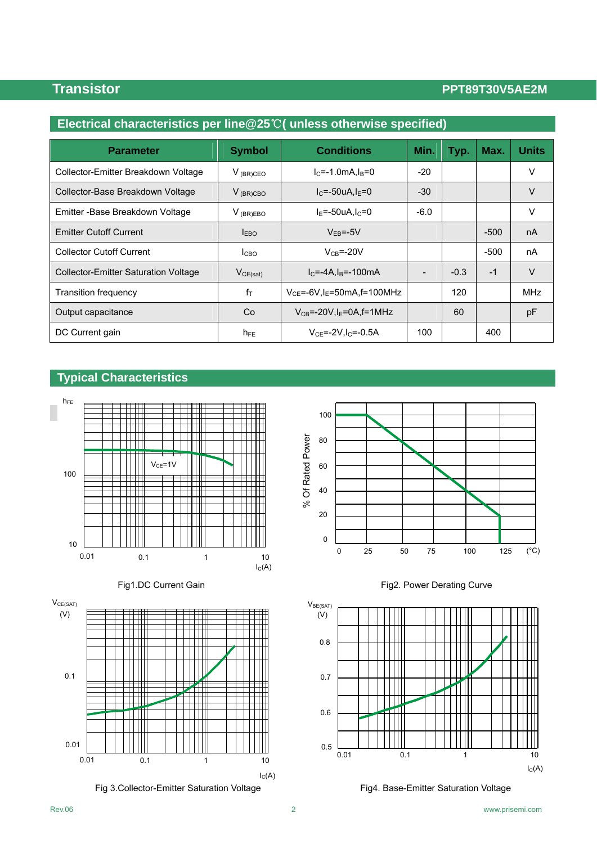### **Transistor PPT89T30V5AE2M**

| Electrical characteristics per line $@25^{\circ}$ (unless otherwise specified) |                  |                                               |        |        |        |              |  |
|--------------------------------------------------------------------------------|------------------|-----------------------------------------------|--------|--------|--------|--------------|--|
| <b>Parameter</b>                                                               | <b>Symbol</b>    | <b>Conditions</b>                             | Min.   | Typ.   | Max.   | <b>Units</b> |  |
| Collector-Emitter Breakdown Voltage                                            | $V_{(BR)CEO}$    | $I_{C} = -1.0$ mA. $I_{B} = 0$                | -20    |        |        | V            |  |
| Collector-Base Breakdown Voltage                                               | $V_{(BR)CBO}$    | $I_C = -50uA I_F = 0$                         | $-30$  |        |        | V            |  |
| Emitter - Base Breakdown Voltage                                               | $V_{(BR)EBO}$    | $IE=-50uA, IC=0$                              | $-6.0$ |        |        | V            |  |
| <b>Emitter Cutoff Current</b>                                                  | I <sub>EBO</sub> | $V_{FB} = -5V$                                |        |        | $-500$ | nA           |  |
| <b>Collector Cutoff Current</b>                                                | I <sub>CBO</sub> | $V_{CB} = -20V$                               |        |        | -500   | nA           |  |
| <b>Collector-Emitter Saturation Voltage</b>                                    | VCE(sat)         | $IC=-4A, IB=-100mA$                           |        | $-0.3$ | $-1$   | V            |  |
| Transition frequency                                                           | $f_T$            | $V_{CF}$ =-6V, I <sub>F</sub> =50mA, f=100MHz |        | 120    |        | <b>MHz</b>   |  |
| Output capacitance                                                             | Co               | $V_{CB}$ =-20V, I <sub>E</sub> =0A, f=1MHz    |        | 60     |        | pF           |  |
| DC Current gain                                                                | $h_{FE}$         | $V_{CE} = -2V I_{C} = -0.5A$                  | 100    |        | 400    |              |  |

### **Typical Characteristics**







Fig 3.Collector-Emitter Saturation Voltage Fig4. Base-Emitter Saturation Voltage





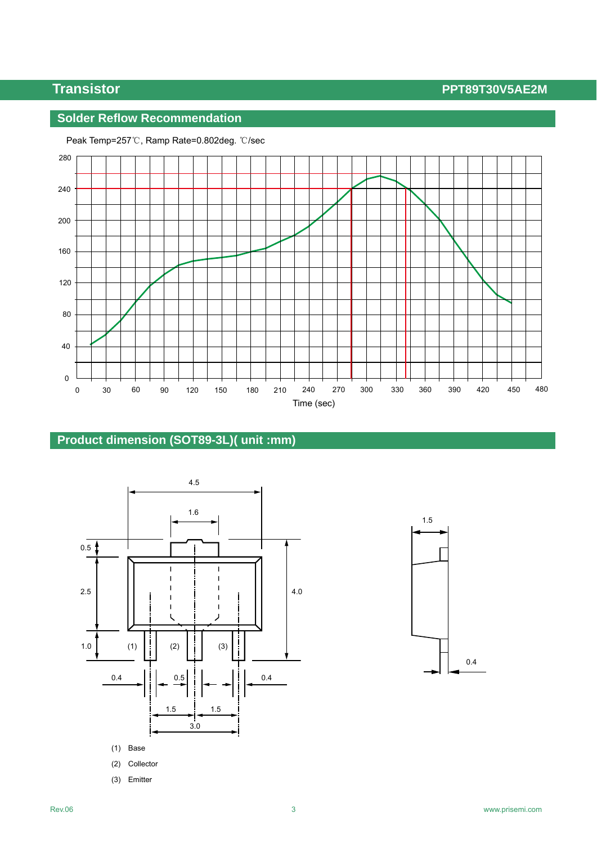## **Transistor PPT89T30V5AE2M**

## **Solder Reflow Recommendation**



#### Peak Temp=257℃, Ramp Rate=0.802deg. ℃/sec

## **Product dimension (SOT89-3L)( unit :mm)**



(3) Emitter

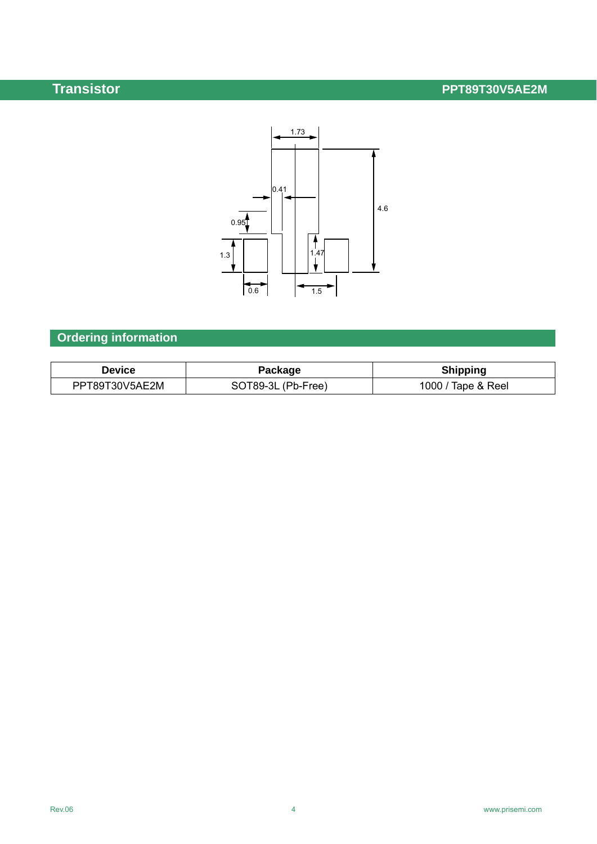# **Transistor PPT89T30V5AE2M**



# **Ordering information**

| <b>Device</b>  | Package            | <b>Shipping</b>    |
|----------------|--------------------|--------------------|
| PPT89T30V5AE2M | SOT89-3L (Pb-Free) | 1000 / Tape & Reel |